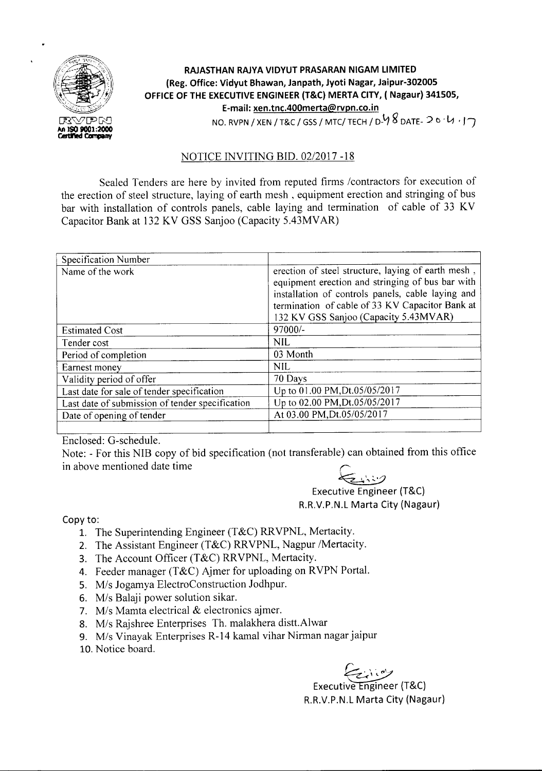

## **RAJASTHAN RAJYA VIDYUT PRASARAN NIGAM LIMITED (Reg. Office: Vidyut Bhawan, Janpath, Jyoti Nagar, Jaipur-302005 OFFICE OF THE EXECUTIVE ENGINEER (T&C) MERTA CITY, (Nagaur) 341505, E-mail: xen.tnc.400merta@rvpn.co.in** NO. RVPN / XEN / T&C / GSS / MTC/ TECH / D-<sup>1</sup>/ 8 DATE- 2 0 · 1/ · 17

## NOTICE INVITING BID. *02/2017 -18*

Sealed Tenders are here by invited from reputed firms /contractors for execution of the erection of steel structure, laying of earth mesh, equipment erection and stringing of bus bar with installation of controls panels, cable laying and termination of cable of 33 KV Capacitor Bank at 132 KV GSS Sanjoo (Capacity 5.43MVAR)

| Specification Number                            |                                                                                                                                                                                                                                                         |
|-------------------------------------------------|---------------------------------------------------------------------------------------------------------------------------------------------------------------------------------------------------------------------------------------------------------|
| Name of the work                                | erection of steel structure, laying of earth mesh,<br>equipment erection and stringing of bus bar with<br>installation of controls panels, cable laying and<br>termination of cable of 33 KV Capacitor Bank at<br>132 KV GSS Sanjoo (Capacity 5.43MVAR) |
| <b>Estimated Cost</b>                           | 97000/-                                                                                                                                                                                                                                                 |
| Tender cost                                     | <b>NIL</b>                                                                                                                                                                                                                                              |
| Period of completion                            | 03 Month                                                                                                                                                                                                                                                |
| Earnest money                                   | NIL.                                                                                                                                                                                                                                                    |
| Validity period of offer                        | 70 Days                                                                                                                                                                                                                                                 |
| Last date for sale of tender specification      | Up to 01.00 PM, Dt.05/05/2017                                                                                                                                                                                                                           |
| Last date of submission of tender specification | Up to 02.00 PM, Dt.05/05/2017                                                                                                                                                                                                                           |
| Date of opening of tender                       | At 03.00 PM, Dt.05/05/2017                                                                                                                                                                                                                              |
|                                                 |                                                                                                                                                                                                                                                         |

Enclosed: G-schedule.

Note: - For this NIB copy of bid specification (not transferable) can obtained from this office in above mentioned date time

~ ,.

Executive Engineer (T&C) R.R.V.P.N.L Marta City (Nagaur)

Copy to:

- 1. The Superintending Engineer (T&C) RRVPNL, Mertacity.
- 2. The Assistant Engineer (T&C) RRVPNL, Nagpur /Mertacity.
- 3. The Account Officer (T&C) RRVPNL, Mertacity.
- 4. Feeder manager (T&C) Ajmer for uploading on RVPN Portal.
- *5. Mis* Jogamya ElectroConstruction Jodhpur.
- *6. Mis* Balaji power solution sikar.
- *7. Mis* Mamta electrical & electronics ajmer.
- *8. Mis* Rajshree Enterprises Th. malakhera distt.Alwar
- 9. M/s Vinayak Enterprises R-14 kamal vihar Nirman nagar jaipur
- 10.Notice board.

Executive Engineer (T&C) R.R.V.P.N.L Marta City (Nagaur)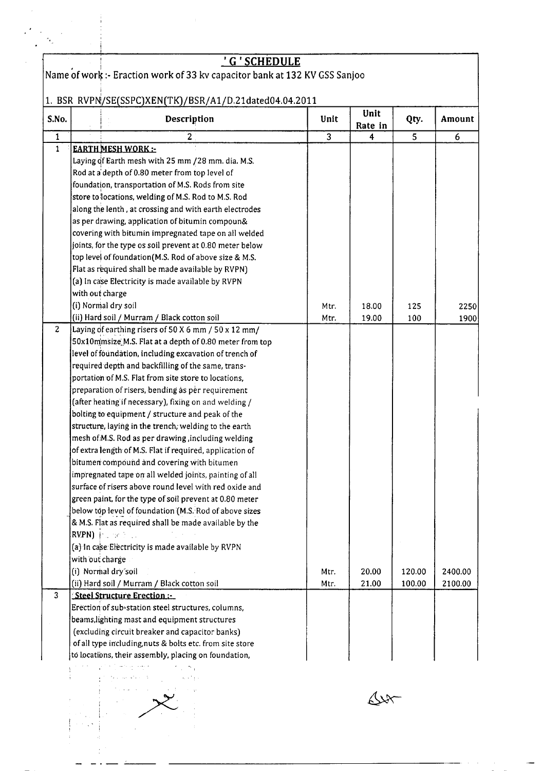|                |                 | <u>' G ' SCHEDULE</u>                                                      |                |         |        |         |
|----------------|-----------------|----------------------------------------------------------------------------|----------------|---------|--------|---------|
|                |                 | Name of work :- Eraction work of 33 kv capacitor bank at 132 KV GSS Sanjoo |                |         |        |         |
|                |                 |                                                                            |                |         |        |         |
|                |                 | 1. BSR RVPN/SE(SSPC)XEN(TK)/BSR/A1/D.21dated04.04.2011                     |                |         |        |         |
|                |                 |                                                                            |                | Unit    |        |         |
| S.No.          |                 | Description                                                                | Unit           | Rate in | Qty.   | Amount  |
| $\mathbf 1$    |                 | $\overline{c}$                                                             | $\overline{3}$ | 4       | 5      | 6       |
| $\mathbf{1}$   |                 | <b>EARTH MESH WORK:</b>                                                    |                |         |        |         |
|                |                 | Laying of Earth mesh with 25 mm /28 mm. dia. M.S.                          |                |         |        |         |
|                |                 | Rod at a depth of 0.80 meter from top level of                             |                |         |        |         |
|                |                 | foundation, transportation of M.S. Rods from site                          |                |         |        |         |
|                |                 | store to locations, welding of M.S. Rod to M.S. Rod                        |                |         |        |         |
|                |                 | along the lenth, at crossing and with earth electrodes                     |                |         |        |         |
|                |                 | as per drawing, application of bitumin compoun&                            |                |         |        |         |
|                |                 | covering with bitumin impregnated tape on all welded                       |                |         |        |         |
|                |                 | joints, for the type os soil prevent at 0.80 meter below                   |                |         |        |         |
|                |                 | top level of foundation (M.S. Rod of above size & M.S.                     |                |         |        |         |
|                |                 | Flat as required shall be made available by RVPN)                          |                |         |        |         |
|                |                 | (a) In case Electricity is made available by RVPN                          |                |         |        |         |
|                | with out charge |                                                                            |                |         |        |         |
|                |                 | (i) Normal dry soil                                                        | Mtr.           | 18.00   | 125    | 2250    |
|                |                 | (ii) Hard soil / Murram / Black cotton soil                                | Mtr.           | 19.00   | 100    | 1900    |
| $\overline{c}$ |                 | Laying of earthing risers of 50 X 6 mm / 50 x 12 mm/                       |                |         |        |         |
|                |                 | 50x10mmsize M.S. Flat at a depth of 0.80 meter from top                    |                |         |        |         |
|                |                 | level of foundation, including excavation of trench of                     |                |         |        |         |
|                |                 | required depth and backfilling of the same, trans-                         |                |         |        |         |
|                |                 | portation of M.S. Flat from site store to locations,                       |                |         |        |         |
|                |                 | preparation of risers, bending as per requirement                          |                |         |        |         |
|                |                 | (after heating if necessary), fixing on and welding /                      |                |         |        |         |
|                |                 | bolting to equipment / structure and peak of the                           |                |         |        |         |
|                |                 | structure, laying in the trench, welding to the earth                      |                |         |        |         |
|                |                 | mesh of M.S. Rod as per drawing, including welding                         |                |         |        |         |
|                |                 | of extra length of M.S. Flat if required, application of                   |                |         |        |         |
|                |                 | bitumen compound and covering with bitumen                                 |                |         |        |         |
|                |                 | impregnated tape on all welded joints, painting of all                     |                |         |        |         |
|                |                 | surface of risers above round level with red oxide and                     |                |         |        |         |
|                |                 | green paint, for the type of soil prevent at 0.80 meter                    |                |         |        |         |
|                |                 | below top level of foundation (M.S. Rod of above sizes                     |                |         |        |         |
|                |                 | & M.S. Flat as required shall be made available by the                     |                |         |        |         |
|                |                 | RVPN) Particular                                                           |                |         |        |         |
|                |                 | (a) In case Electricity is made available by RVPN                          |                |         |        |         |
|                | with out charge |                                                                            |                |         |        |         |
|                |                 | (i) Normal dry soil                                                        | Mtr.           | 20.00   | 120.00 | 2400.00 |
|                |                 | (ii) Hard soil / Murram / Black cotton soil                                | Mtr.           | 21.00   | 100.00 | 2100.00 |
| 3              |                 | Steel Structure Erection:                                                  |                |         |        |         |
|                |                 | Erection of sub-station steel structures, columns,                         |                |         |        |         |
|                |                 | beams, lighting mast and equipment structures                              |                |         |        |         |
|                |                 | (excluding circuit breaker and capacitor banks)                            |                |         |        |         |
|                |                 | of all type including, nuts & bolts etc. from site store                   |                |         |        |         |
|                |                 | to locations, their assembly, placing on foundation,                       |                |         |        |         |



 $4x$ 

 $\sim$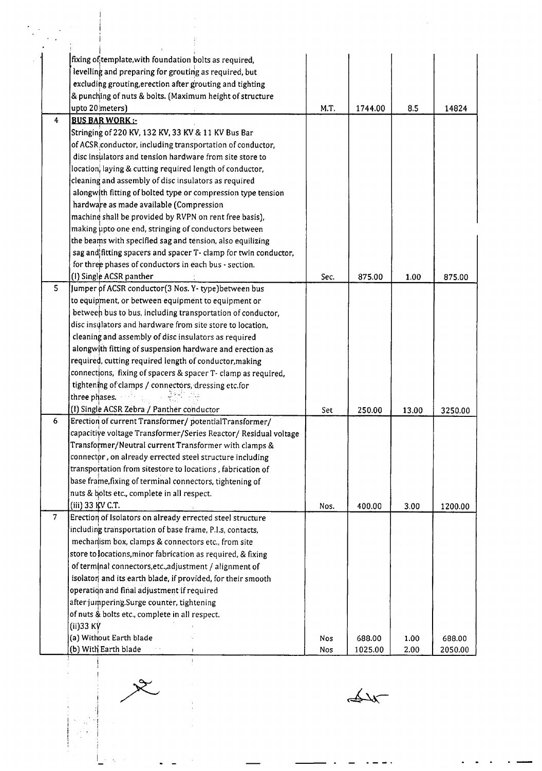|                | fixing of template, with foundation bolts as required,          |      |         |       |         |
|----------------|-----------------------------------------------------------------|------|---------|-------|---------|
|                | levelling and preparing for grouting as required, but           |      |         |       |         |
|                | excluding grouting, erection after grouting and tighting        |      |         |       |         |
|                |                                                                 |      |         |       |         |
|                | & punching of nuts & bolts. (Maximum height of structure        |      |         |       |         |
|                | upto 20 meters)                                                 | M.T. | 1744.00 | 8.5   | 14824   |
| 4              | <b>BUS BAR WORK:-</b>                                           |      |         |       |         |
|                | Stringing of 220 KV, 132 KV, 33 KV & 11 KV Bus Bar              |      |         |       |         |
|                | of ACSR conductor, including transportation of conductor,       |      |         |       |         |
|                | disc insulators and tension hardware from site store to         |      |         |       |         |
|                | location, laying & cutting required length of conductor,        |      |         |       |         |
|                | cleaning and assembly of disc insulators as required            |      |         |       |         |
|                | alongwith fitting of bolted type or compression type tension    |      |         |       |         |
|                | hardware as made available (Compression                         |      |         |       |         |
|                | machine shall be provided by RVPN on rent free basis),          |      |         |       |         |
|                | making upto one end, stringing of conductors between            |      |         |       |         |
|                | the beams with specified sag and tension, also equilizing       |      |         |       |         |
|                | sag and fitting spacers and spacer T- clamp for twin conductor, |      |         |       |         |
|                | for three phases of conductors in each bus - section.           |      |         |       |         |
|                | (I) Single ACSR panther                                         | Sec. | 875.00  | 1.00  | 875.00  |
| 5              | Jumper of ACSR conductor(3 Nos. Y-type) between bus             |      |         |       |         |
|                | to equipment, or between equipment to equipment or              |      |         |       |         |
|                | between bus to bus, including transportation of conductor,      |      |         |       |         |
|                | disc insulators and hardware from site store to location,       |      |         |       |         |
|                | cleaning and assembly of disc insulators as required            |      |         |       |         |
|                | alongwith fitting of suspension hardware and erection as        |      |         |       |         |
|                | required, cutting required length of conductor, making          |      |         |       |         |
|                | connections, fixing of spacers & spacer T- clamp as required,   |      |         |       |         |
|                | tightening of clamps / connectors, dressing etc.for             |      |         |       |         |
|                | three phases.                                                   |      |         |       |         |
|                | (I) Single ACSR Zebra / Panther conductor                       | Set  | 250.00  | 13.00 | 3250.00 |
| 6              | Erection of current Transformer/ potentialTransformer/          |      |         |       |         |
|                | capacitive voltage Transformer/Series Reactor/ Residual voltage |      |         |       |         |
|                | Transformer/Neutral current Transformer with clamps &           |      |         |       |         |
|                | connector, on already errected steel structure including        |      |         |       |         |
|                | transportation from sitestore to locations, fabrication of      |      |         |       |         |
|                | base frame, fixing of terminal connectors, tightening of        |      |         |       |         |
|                | nuts & bolts etc., complete in all respect.                     |      |         |       |         |
|                | (iii) 33 KV C.T.                                                | Nos. | 400.00  | 3.00  | 1200.00 |
| 7 <sup>1</sup> | Erection of Isolators on already errected steel structure       |      |         |       |         |
|                | including transportation of base frame, P.I.s, contacts,        |      |         |       |         |
|                | mechanism box, clamps & connectors etc., from site              |      |         |       |         |
|                | store to locations, minor fabrication as required, & fixing     |      |         |       |         |
|                | of terminal connectors, etc., adjustment / alignment of         |      |         |       |         |
|                | isolator and its earth blade, if provided, for their smooth     |      |         |       |         |
|                |                                                                 |      |         |       |         |
|                | operation and final adjustment if required                      |      |         |       |         |
|                | after jumpering.Surge counter, tightening                       |      |         |       |         |
|                | of nuts & bolts etc., complete in all respect.                  |      |         |       |         |
|                | $(ii)$ 33 K $V$                                                 |      |         |       |         |
|                | (a) Without Earth blade                                         | Nos  | 688.00  | 1.00  | 688.00  |
|                | (b) With Earth blade                                            | Nos  | 1025.00 | 2.00  | 2050.00 |

---------------------------------------------------------------------------------------------- ----- -

! :j

 $\frac{1}{2}$ 

 $\frac{1}{\sqrt{2}}$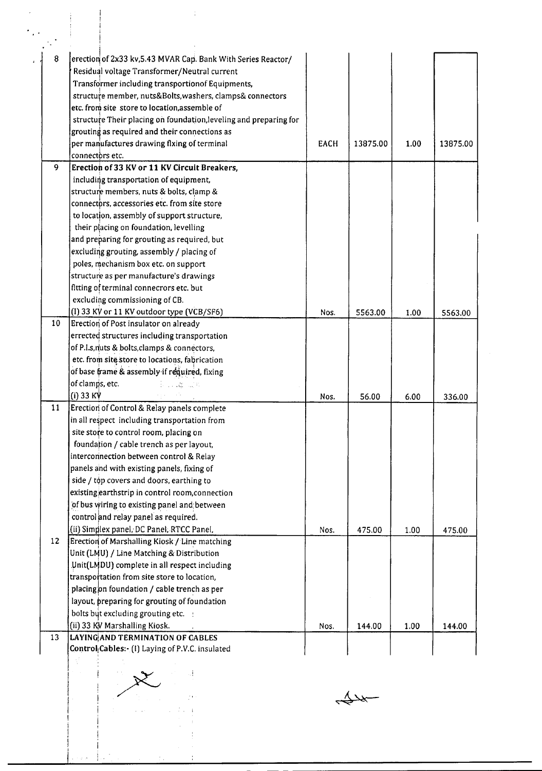| 8               | erection of 2x33 kv, 5.43 MVAR Cap. Bank With Series Reactor/     |             |          |      |          |
|-----------------|-------------------------------------------------------------------|-------------|----------|------|----------|
|                 | Residual voltage Transformer/Neutral current                      |             |          |      |          |
|                 | Transformer including transportionof Equipments,                  |             |          |      |          |
|                 | structure member, nuts&Bolts, washers, clamps& connectors         |             |          |      |          |
|                 | etc. from site store to location, assemble of                     |             |          |      |          |
|                 | structure Their placing on foundation, leveling and preparing for |             |          |      |          |
|                 | grouting as required and their connections as                     |             |          |      |          |
|                 | per manufactures drawing flxing of terminal                       | <b>EACH</b> | 13875.00 | 1.00 | 13875.00 |
|                 | connectors etc.                                                   |             |          |      |          |
| 9               | Erection of 33 KV or 11 KV Circuit Breakers,                      |             |          |      |          |
|                 | including transportation of equipment,                            |             |          |      |          |
|                 | structure members, nuts & bolts, clamp &                          |             |          |      |          |
|                 | connectors, accessories etc. from site store                      |             |          |      |          |
|                 | to location, assembly of support structure,                       |             |          |      |          |
|                 | their placing on foundation, levelling                            |             |          |      |          |
|                 | and preparing for grouting as required, but                       |             |          |      |          |
|                 | excluding grouting, assembly / placing of                         |             |          |      |          |
|                 | poles, mechanism box etc. on support                              |             |          |      |          |
|                 | structure as per manufacture's drawings                           |             |          |      |          |
|                 | fitting of terminal connecrors etc. but                           |             |          |      |          |
|                 | excluding commissioning of CB.                                    |             |          |      |          |
|                 | (I) 33 KV or 11 KV outdoor type (VCB/SF6)                         | Nos.        | 5563.00  | 1.00 | 5563.00  |
| 10 <sup>°</sup> | Erection of Post insulator on already                             |             |          |      |          |
|                 | errected structures including transportation                      |             |          |      |          |
|                 | of P.I.s, nuts & bolts, clamps & connectors,                      |             |          |      |          |
|                 | etc. from site store to locations, fabrication                    |             |          |      |          |
|                 | of base frame & assembly if required, fixing                      |             |          |      |          |
|                 | of clamps, etc.<br>Police Ca                                      |             |          |      |          |
|                 | (i) 33 K $\forall$                                                | Nos.        | 56.00    | 6.00 | 336.00   |
| 11              | Erection of Control & Relay panels complete                       |             |          |      |          |
|                 | in all respect including transportation from                      |             |          |      |          |
|                 | site store to control room, placing on                            |             |          |      |          |
|                 | foundation / cable trench as per layout,                          |             |          |      |          |
|                 | interconnection between control & Relay                           |             |          |      |          |
|                 | panels and with existing panels, fixing of                        |             |          |      |          |
|                 | side / top covers and doors, earthing to                          |             |          |      |          |
|                 | existing earthstrip in control room, connection                   |             |          |      |          |
|                 | of bus wiring to existing panel and between                       |             |          |      |          |
|                 | control and relay panel as required.                              |             |          |      |          |
|                 | (ii) Simplex panel, DC Panel, RTCC Panel,                         | Nos.        | 475.00   | 1.00 | 475.00   |
| 12              | Erection of Marshalling Kiosk / Line matching                     |             |          |      |          |
|                 | Unit (LMU) / Line Matching & Distribution                         |             |          |      |          |
|                 | Unit(LMDU) complete in all respect including                      |             |          |      |          |
|                 | transportation from site store to location,                       |             |          |      |          |
|                 | placing on foundation / cable trench as per                       |             |          |      |          |
|                 | layout, preparing for grouting of foundation                      |             |          |      |          |
|                 | bolts but excluding grouting etc.                                 |             |          |      |          |
|                 | (ii) 33 KV Marshalling Kiosk.                                     | Nos.        | 144.00   | 1.00 | 144.00   |
| 13              | LAYING AND TERMINATION OF CABLES                                  |             |          |      |          |
|                 | Control <sub>l</sub> Cables: (I) Laying of P.V.C. insulated       |             |          |      |          |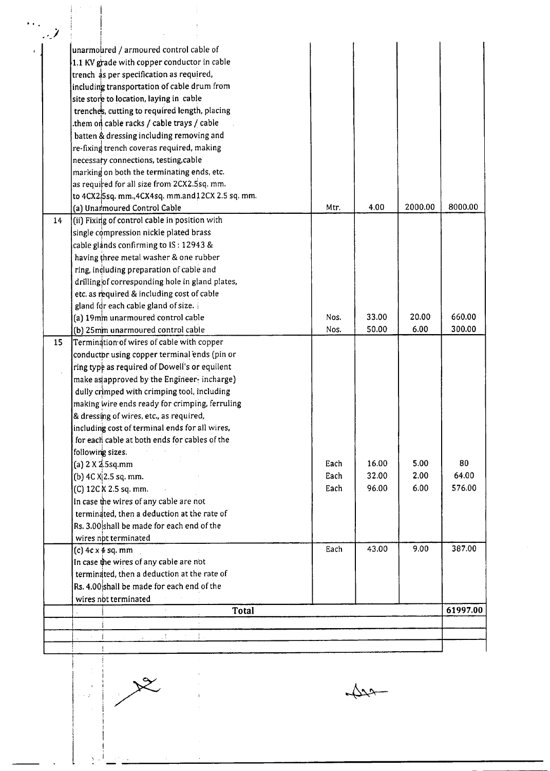| - 1 |                                                             |      |       |         |          |
|-----|-------------------------------------------------------------|------|-------|---------|----------|
|     | unarmoured / armoured control cable of                      |      |       |         |          |
|     | 1.1 KV grade with copper conductor in cable                 |      |       |         |          |
|     | trench as per specification as required,                    |      |       |         |          |
|     | including transportation of cable drum from                 |      |       |         |          |
|     | site store to location, laying in cable                     |      |       |         |          |
|     | trenches, cutting to required length, placing               |      |       |         |          |
|     | them on cable racks / cable trays / cable.                  |      |       |         |          |
|     | batten & dressing including removing and                    |      |       |         |          |
|     | re-fixing trench coveras required, making                   |      |       |         |          |
|     | necessary connections, testing, cable                       |      |       |         |          |
|     | marking on both the terminating ends, etc.                  |      |       |         |          |
|     | as required for all size from 2CX2.5sq. mm.                 |      |       |         |          |
|     | to 4CX2.5sq. mm., 4CX4sq. mm.and 12CX 2.5 sq. mm.           |      |       |         |          |
|     | (a) Unarmoured Control Cable                                | Mtr. | 4.00  | 2000.00 | 8000.00  |
| 14  | (ii) Fixing of control cable in position with               |      |       |         |          |
|     | single compression nickle plated brass                      |      |       |         |          |
|     | cable glands confirming to IS: 12943 &                      |      |       |         |          |
|     | having three metal washer & one rubber                      |      |       |         |          |
|     | ring, including preparation of cable and                    |      |       |         |          |
|     | drilling of corresponding hole in gland plates,             |      |       |         |          |
|     | etc. as required & including cost of cable                  |      |       |         |          |
|     | gland for each cable gland of size.                         |      |       |         |          |
|     | (a) 19mm unarmoured control cable                           | Nos. | 33.00 | 20.00   | 660.00   |
|     | (b) 25mm unarmoured control cable                           | Nos. | 50.00 | 6.00    | 300.00   |
| 15  | Termination of wires of cable with copper                   |      |       |         |          |
|     | conductor using copper terminal ends (pin or                |      |       |         |          |
|     | ring type as required of Dowell's or equilent               |      |       |         |          |
|     | make as approved by the Engineer-incharge)                  |      |       |         |          |
|     | dully crimped with crimping tool, including                 |      |       |         |          |
|     | making wire ends ready for crimping, ferruling              |      |       |         |          |
|     | & dressing of wires, etc., as required,                     |      |       |         |          |
|     | including cost of terminal ends for all wires,              |      |       |         |          |
|     | for each cable at both ends for cables of the               |      |       |         |          |
|     | following sizes.                                            |      |       |         |          |
|     | (a) 2 X 2.5sq.mm                                            | Each | 16.00 | 5.00    | 80       |
|     | (b) $4C X 2.5 sq. mm.$                                      | Each | 32.00 | 2.00    | 64.00    |
|     | (C) 12C K 2.5 sq. mm.                                       | Each | 96.00 | 6.00    | 576.00   |
|     | In case the wires of any cable are not                      |      |       |         |          |
|     | terminated, then a deduction at the rate of                 |      |       |         |          |
|     | Rs. 3.00 shall be made for each end of the                  |      |       |         |          |
|     |                                                             |      |       |         |          |
|     | wires not terminated                                        | Each | 43.00 | 9.00    | 387.00   |
|     | (c) 4c x 4 sq. mm<br>In case the wires of any cable are not |      |       |         |          |
|     |                                                             |      |       |         |          |
|     | terminated, then a deduction at the rate of                 |      |       |         |          |
|     | Rs. 4.00 shall be made for each end of the                  |      |       |         |          |
|     | wires not terminated<br>Total                               |      |       |         | 61997.00 |
|     |                                                             |      |       |         |          |
|     |                                                             |      |       |         |          |
|     | УL.                                                         |      |       |         |          |



 $\begin{array}{c} \frac{1}{2} \\ \frac{1}{2} \end{array}$ 

 $\sqrt{22}-$